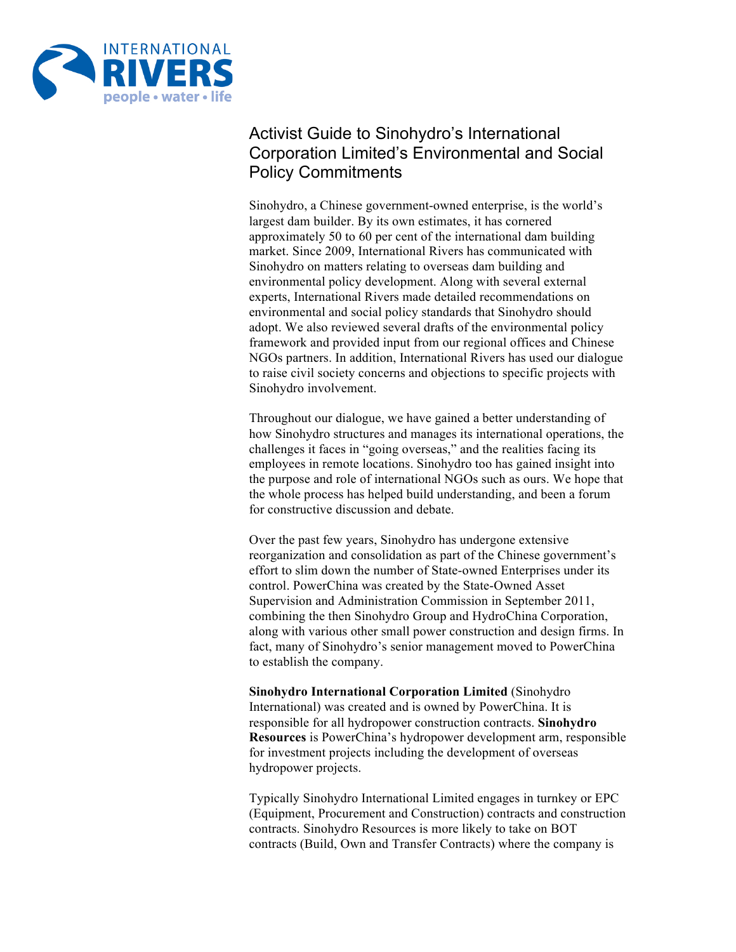

# Activist Guide to Sinohydro's International Corporation Limited's Environmental and Social Policy Commitments

Sinohydro, a Chinese government-owned enterprise, is the world's largest dam builder. By its own estimates, it has cornered approximately 50 to 60 per cent of the international dam building market. Since 2009, International Rivers has communicated with Sinohydro on matters relating to overseas dam building and environmental policy development. Along with several external experts, International Rivers made detailed recommendations on environmental and social policy standards that Sinohydro should adopt. We also reviewed several drafts of the environmental policy framework and provided input from our regional offices and Chinese NGOs partners. In addition, International Rivers has used our dialogue to raise civil society concerns and objections to specific projects with Sinohydro involvement.

Throughout our dialogue, we have gained a better understanding of how Sinohydro structures and manages its international operations, the challenges it faces in "going overseas," and the realities facing its employees in remote locations. Sinohydro too has gained insight into the purpose and role of international NGOs such as ours. We hope that the whole process has helped build understanding, and been a forum for constructive discussion and debate.

Over the past few years, Sinohydro has undergone extensive reorganization and consolidation as part of the Chinese government's effort to slim down the number of State-owned Enterprises under its control. PowerChina was created by the State-Owned Asset Supervision and Administration Commission in September 2011, combining the then Sinohydro Group and HydroChina Corporation, along with various other small power construction and design firms. In fact, many of Sinohydro's senior management moved to PowerChina to establish the company.

**Sinohydro International Corporation Limited** (Sinohydro International) was created and is owned by PowerChina. It is responsible for all hydropower construction contracts. **Sinohydro Resources** is PowerChina's hydropower development arm, responsible for investment projects including the development of overseas hydropower projects.

Typically Sinohydro International Limited engages in turnkey or EPC (Equipment, Procurement and Construction) contracts and construction contracts. Sinohydro Resources is more likely to take on BOT contracts (Build, Own and Transfer Contracts) where the company is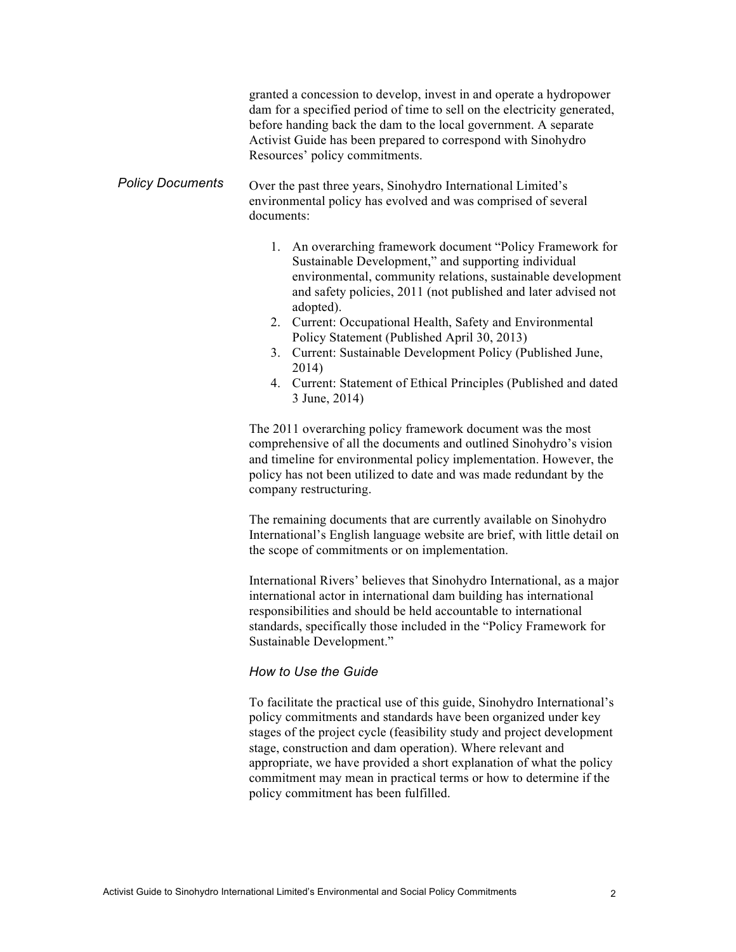|                         | granted a concession to develop, invest in and operate a hydropower<br>dam for a specified period of time to sell on the electricity generated,<br>before handing back the dam to the local government. A separate<br>Activist Guide has been prepared to correspond with Sinohydro<br>Resources' policy commitments.                                                                                                                                                                                                                                                                                                                                                                                                                                                                                                                                                                                                                                                                                                                                                                                                                                                                                                                                                                                                                                                                                                                                                                                                                                                                                                                                                                                                                                                                                                                                                                    |
|-------------------------|------------------------------------------------------------------------------------------------------------------------------------------------------------------------------------------------------------------------------------------------------------------------------------------------------------------------------------------------------------------------------------------------------------------------------------------------------------------------------------------------------------------------------------------------------------------------------------------------------------------------------------------------------------------------------------------------------------------------------------------------------------------------------------------------------------------------------------------------------------------------------------------------------------------------------------------------------------------------------------------------------------------------------------------------------------------------------------------------------------------------------------------------------------------------------------------------------------------------------------------------------------------------------------------------------------------------------------------------------------------------------------------------------------------------------------------------------------------------------------------------------------------------------------------------------------------------------------------------------------------------------------------------------------------------------------------------------------------------------------------------------------------------------------------------------------------------------------------------------------------------------------------|
| <b>Policy Documents</b> | Over the past three years, Sinohydro International Limited's<br>environmental policy has evolved and was comprised of several<br>documents:                                                                                                                                                                                                                                                                                                                                                                                                                                                                                                                                                                                                                                                                                                                                                                                                                                                                                                                                                                                                                                                                                                                                                                                                                                                                                                                                                                                                                                                                                                                                                                                                                                                                                                                                              |
|                         | 1. An overarching framework document "Policy Framework for<br>Sustainable Development," and supporting individual<br>environmental, community relations, sustainable development<br>and safety policies, 2011 (not published and later advised not<br>adopted).<br>2. Current: Occupational Health, Safety and Environmental<br>Policy Statement (Published April 30, 2013)<br>Current: Sustainable Development Policy (Published June,<br>3.<br>2014)<br>4. Current: Statement of Ethical Principles (Published and dated<br>3 June, 2014)<br>The 2011 overarching policy framework document was the most<br>comprehensive of all the documents and outlined Sinohydro's vision<br>and timeline for environmental policy implementation. However, the<br>policy has not been utilized to date and was made redundant by the<br>company restructuring.<br>The remaining documents that are currently available on Sinohydro<br>International's English language website are brief, with little detail on<br>the scope of commitments or on implementation.<br>International Rivers' believes that Sinohydro International, as a major<br>international actor in international dam building has international<br>responsibilities and should be held accountable to international<br>standards, specifically those included in the "Policy Framework for<br>Sustainable Development."<br>How to Use the Guide<br>To facilitate the practical use of this guide, Sinohydro International's<br>policy commitments and standards have been organized under key<br>stages of the project cycle (feasibility study and project development<br>stage, construction and dam operation). Where relevant and<br>appropriate, we have provided a short explanation of what the policy<br>commitment may mean in practical terms or how to determine if the<br>policy commitment has been fulfilled. |
|                         |                                                                                                                                                                                                                                                                                                                                                                                                                                                                                                                                                                                                                                                                                                                                                                                                                                                                                                                                                                                                                                                                                                                                                                                                                                                                                                                                                                                                                                                                                                                                                                                                                                                                                                                                                                                                                                                                                          |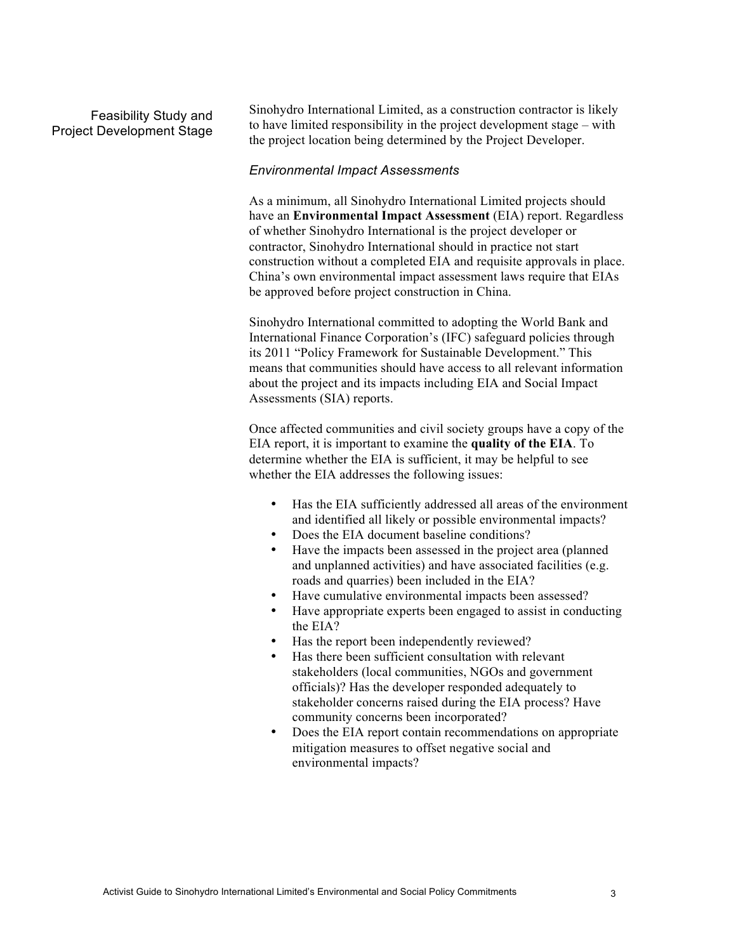## Feasibility Study and Project Development Stage

Sinohydro International Limited, as a construction contractor is likely to have limited responsibility in the project development stage – with the project location being determined by the Project Developer.

## *Environmental Impact Assessments*

As a minimum, all Sinohydro International Limited projects should have an **Environmental Impact Assessment** (EIA) report. Regardless of whether Sinohydro International is the project developer or contractor, Sinohydro International should in practice not start construction without a completed EIA and requisite approvals in place. China's own environmental impact assessment laws require that EIAs be approved before project construction in China.

Sinohydro International committed to adopting the World Bank and International Finance Corporation's (IFC) safeguard policies through its 2011 "Policy Framework for Sustainable Development." This means that communities should have access to all relevant information about the project and its impacts including EIA and Social Impact Assessments (SIA) reports.

Once affected communities and civil society groups have a copy of the EIA report, it is important to examine the **quality of the EIA**. To determine whether the EIA is sufficient, it may be helpful to see whether the EIA addresses the following issues:

- Has the EIA sufficiently addressed all areas of the environment and identified all likely or possible environmental impacts?
- Does the EIA document baseline conditions?
- Have the impacts been assessed in the project area (planned and unplanned activities) and have associated facilities (e.g. roads and quarries) been included in the EIA?
- Have cumulative environmental impacts been assessed?
- Have appropriate experts been engaged to assist in conducting the EIA?
- Has the report been independently reviewed?
- Has there been sufficient consultation with relevant stakeholders (local communities, NGOs and government officials)? Has the developer responded adequately to stakeholder concerns raised during the EIA process? Have community concerns been incorporated?
- Does the EIA report contain recommendations on appropriate mitigation measures to offset negative social and environmental impacts?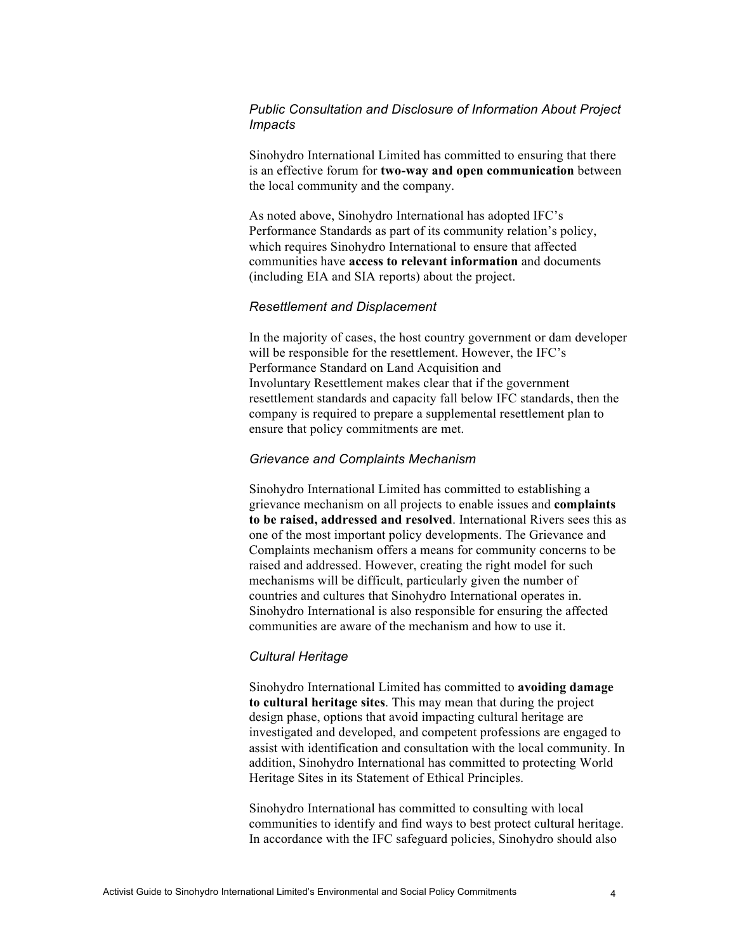## *Public Consultation and Disclosure of Information About Project Impacts*

Sinohydro International Limited has committed to ensuring that there is an effective forum for **two-way and open communication** between the local community and the company.

As noted above, Sinohydro International has adopted IFC's Performance Standards as part of its community relation's policy, which requires Sinohydro International to ensure that affected communities have **access to relevant information** and documents (including EIA and SIA reports) about the project.

## *Resettlement and Displacement*

In the majority of cases, the host country government or dam developer will be responsible for the resettlement. However, the IFC's Performance Standard on Land Acquisition and Involuntary Resettlement makes clear that if the government resettlement standards and capacity fall below IFC standards, then the company is required to prepare a supplemental resettlement plan to ensure that policy commitments are met.

## *Grievance and Complaints Mechanism*

Sinohydro International Limited has committed to establishing a grievance mechanism on all projects to enable issues and **complaints to be raised, addressed and resolved**. International Rivers sees this as one of the most important policy developments. The Grievance and Complaints mechanism offers a means for community concerns to be raised and addressed. However, creating the right model for such mechanisms will be difficult, particularly given the number of countries and cultures that Sinohydro International operates in. Sinohydro International is also responsible for ensuring the affected communities are aware of the mechanism and how to use it.

## *Cultural Heritage*

Sinohydro International Limited has committed to **avoiding damage to cultural heritage sites**. This may mean that during the project design phase, options that avoid impacting cultural heritage are investigated and developed, and competent professions are engaged to assist with identification and consultation with the local community. In addition, Sinohydro International has committed to protecting World Heritage Sites in its Statement of Ethical Principles.

Sinohydro International has committed to consulting with local communities to identify and find ways to best protect cultural heritage. In accordance with the IFC safeguard policies, Sinohydro should also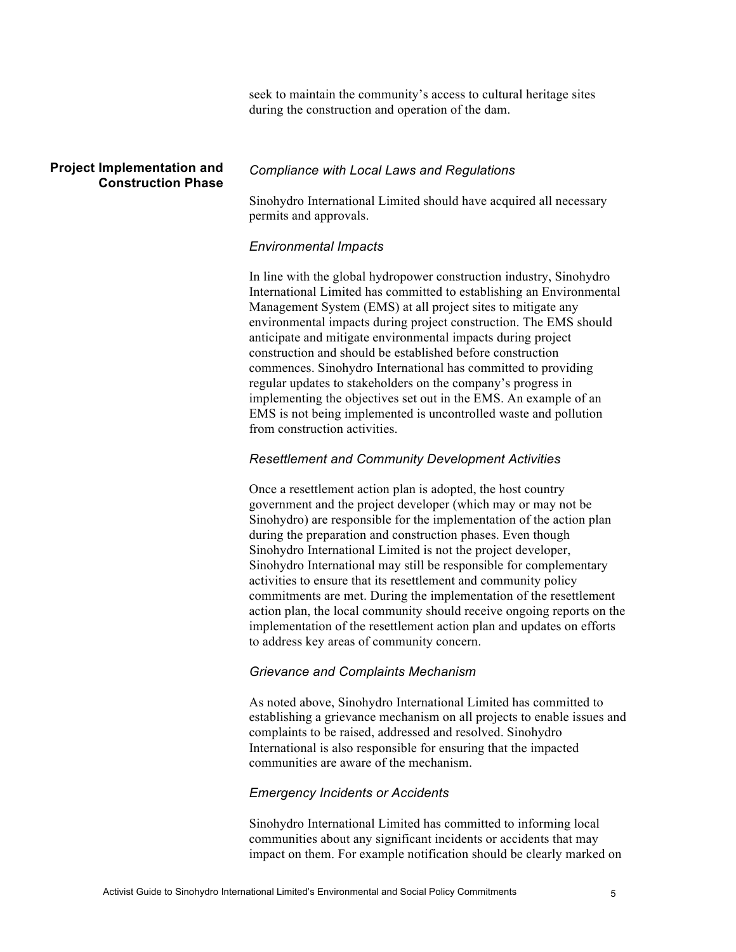seek to maintain the community's access to cultural heritage sites during the construction and operation of the dam.

## **Project Implementation and Construction Phase**

## *Compliance with Local Laws and Regulations*

Sinohydro International Limited should have acquired all necessary permits and approvals.

## *Environmental Impacts*

In line with the global hydropower construction industry, Sinohydro International Limited has committed to establishing an Environmental Management System (EMS) at all project sites to mitigate any environmental impacts during project construction. The EMS should anticipate and mitigate environmental impacts during project construction and should be established before construction commences. Sinohydro International has committed to providing regular updates to stakeholders on the company's progress in implementing the objectives set out in the EMS. An example of an EMS is not being implemented is uncontrolled waste and pollution from construction activities.

## *Resettlement and Community Development Activities*

Once a resettlement action plan is adopted, the host country government and the project developer (which may or may not be Sinohydro) are responsible for the implementation of the action plan during the preparation and construction phases. Even though Sinohydro International Limited is not the project developer, Sinohydro International may still be responsible for complementary activities to ensure that its resettlement and community policy commitments are met. During the implementation of the resettlement action plan, the local community should receive ongoing reports on the implementation of the resettlement action plan and updates on efforts to address key areas of community concern.

## *Grievance and Complaints Mechanism*

As noted above, Sinohydro International Limited has committed to establishing a grievance mechanism on all projects to enable issues and complaints to be raised, addressed and resolved. Sinohydro International is also responsible for ensuring that the impacted communities are aware of the mechanism.

## *Emergency Incidents or Accidents*

Sinohydro International Limited has committed to informing local communities about any significant incidents or accidents that may impact on them. For example notification should be clearly marked on